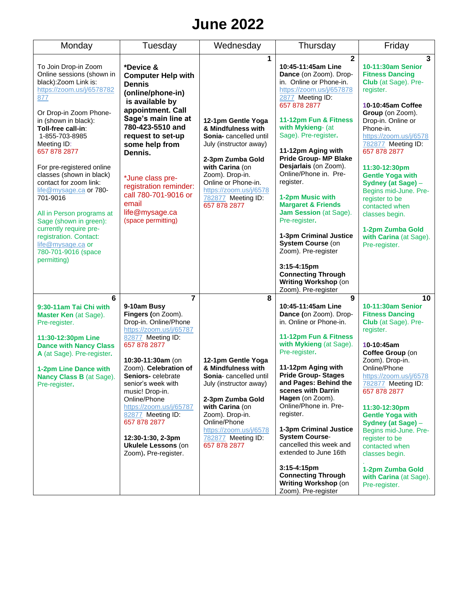# **June 2022**

| Monday                                                                                                                                                                                                                                                                                                                                                                                                                                                                                                                                 | Tuesday                                                                                                                                                                                                                                                                                                                                                                                                | Wednesday                                                                                                                                                                                                                                         | Thursday                                                                                                                                                                                                                                                                                                                                                                                                                                                                                                                                                                                                                        | Friday                                                                                                                                                                                                                                                                                                                                                                                                                                            |
|----------------------------------------------------------------------------------------------------------------------------------------------------------------------------------------------------------------------------------------------------------------------------------------------------------------------------------------------------------------------------------------------------------------------------------------------------------------------------------------------------------------------------------------|--------------------------------------------------------------------------------------------------------------------------------------------------------------------------------------------------------------------------------------------------------------------------------------------------------------------------------------------------------------------------------------------------------|---------------------------------------------------------------------------------------------------------------------------------------------------------------------------------------------------------------------------------------------------|---------------------------------------------------------------------------------------------------------------------------------------------------------------------------------------------------------------------------------------------------------------------------------------------------------------------------------------------------------------------------------------------------------------------------------------------------------------------------------------------------------------------------------------------------------------------------------------------------------------------------------|---------------------------------------------------------------------------------------------------------------------------------------------------------------------------------------------------------------------------------------------------------------------------------------------------------------------------------------------------------------------------------------------------------------------------------------------------|
| To Join Drop-in Zoom<br>Online sessions (shown in<br>black): Zoom Link is:<br>https://zoom.us/j/6578782<br>877<br>Or Drop-in Zoom Phone-<br>in (shown in black):<br>Toll-free call-in:<br>1-855-703-8985<br>Meeting ID:<br>657 878 2877<br>For pre-registered online<br>classes (shown in black)<br>contact for zoom link:<br>life@mysage.ca or 780-<br>701-9016<br>All in Person programs at<br>Sage (shown in green):<br>currently require pre-<br>registration. Contact:<br>life@mysage.ca or<br>780-701-9016 (space<br>permitting) | *Device &<br><b>Computer Help with</b><br><b>Dennis</b><br>(online/phone-in)<br>is available by<br>appointment. Call<br>Sage's main line at<br>780-423-5510 and<br>request to set-up<br>some help from<br>Dennis.<br>*June class pre-<br>registration reminder:<br>call 780-701-9016 or<br>email<br>life@mysage.ca<br>(space permitting)                                                               | 1<br>12-1pm Gentle Yoga<br>& Mindfulness with<br>Sonia-cancelled until<br>July (instructor away)<br>2-3pm Zumba Gold<br>with Carina (on<br>Zoom). Drop-in.<br>Online or Phone-in.<br>https://zoom.us/j/6578<br>782877 Meeting ID:<br>657 878 2877 | $\mathbf{2}$<br>10:45-11:45am Line<br>Dance (on Zoom). Drop-<br>in. Online or Phone-in.<br>https://zoom.us/j/657878<br>2877 Meeting ID:<br>657 878 2877<br>11-12pm Fun & Fitness<br>with Mykieng- (at<br>Sage). Pre-register.<br>11-12pm Aging with<br><b>Pride Group- MP Blake</b><br>Desjarlais (on Zoom).<br>Online/Phone in. Pre-<br>register.<br>1-2pm Music with<br><b>Margaret &amp; Friends</b><br>Jam Session (at Sage).<br>Pre-register.<br>1-3pm Criminal Justice<br><b>System Course (on</b><br>Zoom). Pre-register<br>$3:15 - 4:15$ pm<br><b>Connecting Through</b><br>Writing Workshop (on<br>Zoom). Pre-register | 3<br>10-11:30am Senior<br><b>Fitness Dancing</b><br>Club (at Sage). Pre-<br>register.<br>10-10:45am Coffee<br>Group (on Zoom).<br>Drop-in. Online or<br>Phone-in.<br>https://zoom.us/j/6578<br>782877 Meeting ID:<br>657 878 2877<br>11:30-12:30pm<br><b>Gentle Yoga with</b><br>Sydney (at Sage) -<br>Begins mid-June. Pre-<br>register to be<br>contacted when<br>classes begin.<br>1-2pm Zumba Gold<br>with Carina (at Sage).<br>Pre-register. |
| 6<br>9:30-11am Tai Chi with<br>Master Ken (at Sage).<br>Pre-register.<br>11:30-12:30pm Line<br><b>Dance with Nancy Class</b><br>A (at Sage). Pre-register.<br>1-2pm Line Dance with<br>Nancy Class B (at Sage).<br>Pre-register.                                                                                                                                                                                                                                                                                                       | 7<br>9-10am Busy<br>Fingers (on Zoom).<br>Drop-in. Online/Phone<br>https://zoom.us/j/65787<br>82877 Meeting ID:<br>657 878 2877<br>10:30-11:30am (on<br>Zoom). Celebration of<br>Seniors-celebrate<br>senior's week with<br>music! Drop-in.<br>Online/Phone<br>https://zoom.us/j/65787<br>82877 Meeting ID:<br>657 878 2877<br>12:30-1:30, 2-3pm<br><b>Ukulele Lessons (on</b><br>Zoom). Pre-register. | 8<br>12-1pm Gentle Yoga<br>& Mindfulness with<br>Sonia- cancelled until<br>July (instructor away)<br>2-3pm Zumba Gold<br>with Carina (on<br>Zoom). Drop-in.<br>Online/Phone<br>https://zoom.us/j/6578<br>782877 Meeting ID:<br>657 878 2877       | 9<br>10:45-11:45am Line<br>Dance (on Zoom). Drop-<br>in. Online or Phone-in.<br>11-12pm Fun & Fitness<br>with Mykieng (at Sage).<br>Pre-register.<br>11-12pm Aging with<br><b>Pride Group-Stages</b><br>and Pages: Behind the<br>scenes with Darrin<br>Hagen (on Zoom).<br>Online/Phone in. Pre-<br>register.<br>1-3pm Criminal Justice<br><b>System Course-</b><br>cancelled this week and<br>extended to June 16th<br>3:15-4:15pm<br><b>Connecting Through</b><br><b>Writing Workshop (on</b><br>Zoom). Pre-register                                                                                                          | 10<br>10-11:30am Senior<br><b>Fitness Dancing</b><br>Club (at Sage). Pre-<br>register.<br>10-10:45am<br>Coffee Group (on<br>Zoom). Drop-in.<br>Online/Phone<br>https://zoom.us/j/6578<br>782877 Meeting ID:<br>657 878 2877<br>11:30-12:30pm<br><b>Gentle Yoga with</b><br>Sydney (at Sage) -<br>Begins mid-June. Pre-<br>register to be<br>contacted when<br>classes begin.<br>1-2pm Zumba Gold<br>with Carina (at Sage).<br>Pre-register.       |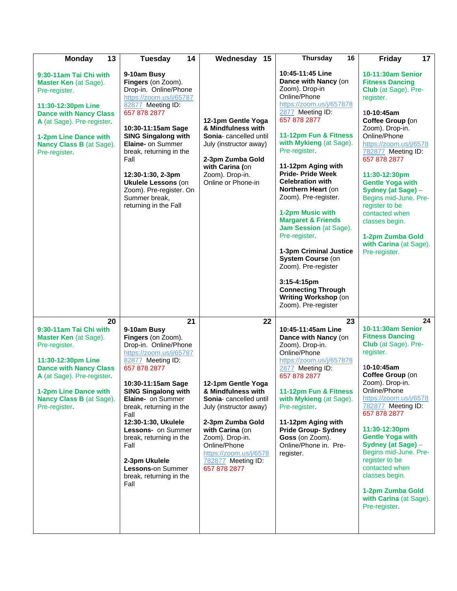| 13<br><b>Monday</b>                                                                                                                                                                                                                | Tuesday<br>14                                                                                                                                                                                                                                                                                                                                                                                         | Wednesday 15                                                                                                                                                                                                                                        | <b>Thursday</b><br>16                                                                                                                                                                                                                                                                                                                                                                                                                                                                                                                                                                                             | 17<br><b>Friday</b>                                                                                                                                                                                                                                                                                                                                                                                                                         |
|------------------------------------------------------------------------------------------------------------------------------------------------------------------------------------------------------------------------------------|-------------------------------------------------------------------------------------------------------------------------------------------------------------------------------------------------------------------------------------------------------------------------------------------------------------------------------------------------------------------------------------------------------|-----------------------------------------------------------------------------------------------------------------------------------------------------------------------------------------------------------------------------------------------------|-------------------------------------------------------------------------------------------------------------------------------------------------------------------------------------------------------------------------------------------------------------------------------------------------------------------------------------------------------------------------------------------------------------------------------------------------------------------------------------------------------------------------------------------------------------------------------------------------------------------|---------------------------------------------------------------------------------------------------------------------------------------------------------------------------------------------------------------------------------------------------------------------------------------------------------------------------------------------------------------------------------------------------------------------------------------------|
| 9:30-11am Tai Chi with<br><b>Master Ken</b> (at Sage).<br>Pre-register.<br>11:30-12:30pm Line<br><b>Dance with Nancy Class</b><br>A (at Sage). Pre-register.<br>1-2pm Line Dance with<br>Nancy Class B (at Sage).<br>Pre-register. | 9-10am Busy<br>Fingers (on Zoom).<br>Drop-in. Online/Phone<br>https://zoom.us/j/65787<br>82877 Meeting ID:<br>657 878 2877<br>10:30-11:15am Sage<br><b>SING Singalong with</b><br><b>Elaine-</b> on Summer<br>break, returning in the<br>Fall<br>12:30-1:30, 2-3pm<br><b>Ukulele Lessons (on</b><br>Zoom). Pre-register. On<br>Summer break,<br>returning in the Fall                                 | 12-1pm Gentle Yoga<br>& Mindfulness with<br>Sonia-cancelled until<br>July (instructor away)<br>2-3pm Zumba Gold<br>with Carina (on<br>Zoom). Drop-in.<br>Online or Phone-in                                                                         | 10:45-11:45 Line<br>Dance with Nancy (on<br>Zoom). Drop-in<br>Online/Phone<br>https://zoom.us/j/657878<br>2877 Meeting ID:<br>657 878 2877<br>11-12pm Fun & Fitness<br>with Mykieng (at Sage).<br>Pre-register.<br>11-12pm Aging with<br><b>Pride-Pride Week</b><br><b>Celebration with</b><br>Northern Heart (on<br>Zoom). Pre-register.<br>1-2pm Music with<br><b>Margaret &amp; Friends</b><br><b>Jam Session</b> (at Sage).<br>Pre-register.<br>1-3pm Criminal Justice<br>System Course (on<br>Zoom). Pre-register<br>3:15-4:15pm<br><b>Connecting Through</b><br>Writing Workshop (on<br>Zoom). Pre-register | 10-11:30am Senior<br><b>Fitness Dancing</b><br>Club (at Sage). Pre-<br>register.<br>10-10:45am<br>Coffee Group (on<br>Zoom). Drop-in.<br>Online/Phone<br>https://zoom.us/j/6578<br>782877 Meeting ID:<br>657 878 2877<br>11:30-12:30pm<br><b>Gentle Yoga with</b><br>Sydney (at Sage) -<br>Begins mid-June. Pre-<br>register to be<br>contacted when<br>classes begin.<br>1-2pm Zumba Gold<br>with Carina (at Sage).<br>Pre-register.       |
| 20<br>9:30-11am Tai Chi with<br>Master Ken (at Sage).<br>Pre-register.<br>11:30-12:30pm Line<br><b>Dance with Nancy Class</b><br>A (at Sage). Pre-register.<br>1-2pm Line Dance with<br>Nancy Class B (at Sage).<br>Pre-register.  | 21<br>9-10am Busy<br>Fingers (on Zoom).<br>Drop-in. Online/Phone<br>https://zoom.us/j/65787<br>82877 Meeting ID:<br>657 878 2877<br>10:30-11:15am Sage<br><b>SING Singalong with</b><br>Elaine- on Summer<br>break, returning in the<br>Fall<br>12:30-1:30, Ukulele<br>Lessons- on Summer<br>break, returning in the<br>Fall<br>2-3pm Ukulele<br>Lessons-on Summer<br>break, returning in the<br>Fall | 22<br>12-1pm Gentle Yoga<br>& Mindfulness with<br><b>Sonia-</b> cancelled until<br>July (instructor away)<br>2-3pm Zumba Gold<br>with Carina (on<br>Zoom). Drop-in.<br>Online/Phone<br>https://zoom.us/j/6578<br>782877 Meeting ID:<br>657 878 2877 | 23<br>10:45-11:45am Line<br>Dance with Nancy (on<br>Zoom). Drop-in.<br>Online/Phone<br>https://zoom.us/j/657878<br>2877 Meeting ID:<br>657 878 2877<br>11-12pm Fun & Fitness<br>with Mykieng (at Sage).<br>Pre-register.<br>11-12pm Aging with<br><b>Pride Group-Sydney</b><br>Goss (on Zoom).<br>Online/Phone in. Pre-<br>register.                                                                                                                                                                                                                                                                              | 24<br>10-11:30am Senior<br><b>Fitness Dancing</b><br>Club (at Sage). Pre-<br>register.<br>10-10:45am<br>Coffee Group (on<br>Zoom). Drop-in.<br>Online/Phone<br>https://zoom.us/j/6578<br>782877 Meeting ID:<br>657 878 2877<br>11:30-12:30pm<br><b>Gentle Yoga with</b><br>Sydney (at Sage) -<br>Begins mid-June. Pre-<br>register to be<br>contacted when<br>classes begin.<br>1-2pm Zumba Gold<br>with Carina (at Sage).<br>Pre-register. |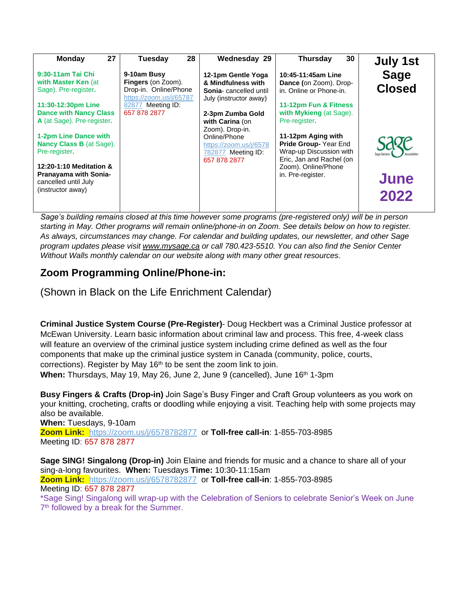| 27<br><b>Monday</b>             | 28<br>Tuesday                                    | Wednesday 29                                     | 30<br><b>Thursday</b>                           | <b>July 1st</b> |
|---------------------------------|--------------------------------------------------|--------------------------------------------------|-------------------------------------------------|-----------------|
| 9:30-11am Tai Chi               | 9-10am Busy                                      | 12-1pm Gentle Yoga                               | 10:45-11:45am Line                              | <b>Sage</b>     |
| with Master Ken (at             | <b>Fingers</b> (on Zoom).                        | & Mindfulness with                               | Dance (on Zoom). Drop-                          | <b>Closed</b>   |
| Sage). Pre-register.            | Drop-in. Online/Phone<br>https://zoom.us/j/65787 | Sonia- cancelled until<br>July (instructor away) | in. Online or Phone-in.                         |                 |
| 11:30-12:30pm Line              | 82877 Meeting ID:                                |                                                  | 11-12pm Fun & Fitness                           |                 |
| <b>Dance with Nancy Class</b>   | 657 878 2877                                     | 2-3pm Zumba Gold                                 | with Mykieng (at Sage).                         |                 |
| A (at Sage). Pre-register.      |                                                  | with Carina (on                                  | Pre-register.                                   |                 |
|                                 |                                                  | Zoom). Drop-in.                                  |                                                 |                 |
| 1-2pm Line Dance with           |                                                  | Online/Phone                                     | 11-12pm Aging with                              |                 |
| <b>Nancy Class B (at Sage).</b> |                                                  | https://zoom.us/j/6578                           | <b>Pride Group-Year End</b>                     |                 |
| Pre-register.                   |                                                  | 782877 Meeting ID:                               | Wrap-up Discussion with                         | Association     |
| 12:20-1:10 Meditation &         |                                                  | 657 878 2877                                     | Eric, Jan and Rachel (on<br>Zoom). Online/Phone |                 |
| <b>Pranayama with Sonia-</b>    |                                                  |                                                  | in. Pre-register.                               |                 |
| cancelled until July            |                                                  |                                                  |                                                 | June            |
| (instructor away)               |                                                  |                                                  |                                                 |                 |
|                                 |                                                  |                                                  |                                                 | 2022            |
|                                 |                                                  |                                                  |                                                 |                 |

*Sage's building remains closed at this time however some programs (pre-registered only) will be in person starting in May. Other programs will remain online/phone-in on Zoom. See details below on how to register. As always, circumstances may change. For calendar and building updates, our newsletter, and other Sage program updates please visit [www.mysage.ca](http://www.mysage.ca/) or call 780.423-5510. You can also find the Senior Center Without Walls monthly calendar on our website along with many other great resources.*

# **Zoom Programming Online/Phone-in:**

(Shown in Black on the Life Enrichment Calendar)

**Criminal Justice System Course (Pre-Register)**- Doug Heckbert was a Criminal Justice professor at McEwan University. Learn basic information about criminal law and process. This free, 4-week class will feature an overview of the criminal justice system including crime defined as well as the four components that make up the criminal justice system in Canada (community, police, courts, corrections). Register by May 16<sup>th</sup> to be sent the zoom link to join. **When:** Thursdays, May 19, May 26, June 2, June 9 (cancelled), June 16th 1-3pm

**Busy Fingers & Crafts (Drop-in)** Join Sage's Busy Finger and Craft Group volunteers as you work on your knitting, crocheting, crafts or doodling while enjoying a visit. Teaching help with some projects may also be available.

**When:** Tuesdays, 9-10am **Zoom Link:** <https://zoom.us/j/6578782877> or **Toll-free call-in**: 1-855-703-8985 Meeting ID: 657 878 2877

**Sage SING! Singalong (Drop-in)** Join Elaine and friends for music and a chance to share all of your sing-a-long favourites. **When:** Tuesdays **Time:** 10:30-11:15am **Zoom Link:** <https://zoom.us/j/6578782877> or **Toll-free call-in**: 1-855-703-8985 Meeting ID: 657 878 2877 \*Sage Sing! Singalong will wrap-up with the Celebration of Seniors to celebrate Senior's Week on June

7<sup>th</sup> followed by a break for the Summer.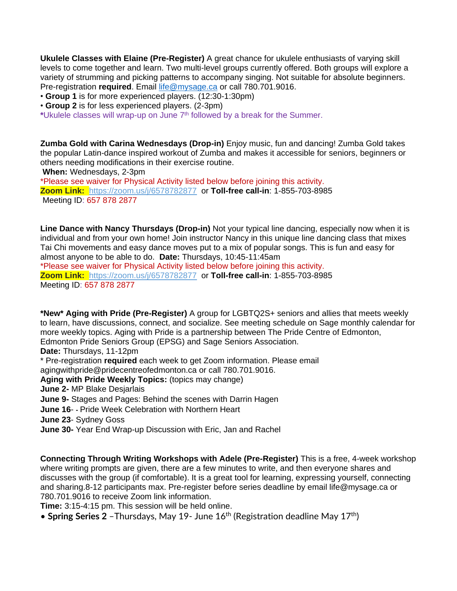**Ukulele Classes with Elaine (Pre-Register)** A great chance for ukulele enthusiasts of varying skill levels to come together and learn. Two multi-level groups currently offered. Both groups will explore a variety of strumming and picking patterns to accompany singing. Not suitable for absolute beginners. Pre-registration **required**. Email [life@mysage.ca](mailto:life@mysage.ca) or call 780.701.9016.

• **Group 1** is for more experienced players. (12:30-1:30pm)

• **Group 2** is for less experienced players. (2-3pm)

**\***Ukulele classes will wrap-up on June 7 th followed by a break for the Summer.

**Zumba Gold with Carina Wednesdays (Drop-in)** Enjoy music, fun and dancing! Zumba Gold takes the popular Latin-dance inspired workout of Zumba and makes it accessible for seniors, beginners or others needing modifications in their exercise routine.

**When:** Wednesdays, 2-3pm

\*Please see waiver for Physical Activity listed below before joining this activity. **Zoom Link:** <https://zoom.us/j/6578782877> or **Toll-free call-in**: 1-855-703-8985 Meeting ID: 657 878 2877

**Line Dance with Nancy Thursdays (Drop-in)** Not your typical line dancing, especially now when it is individual and from your own home! Join instructor Nancy in this unique line dancing class that mixes Tai Chi movements and easy dance moves put to a mix of popular songs. This is fun and easy for almost anyone to be able to do. **Date:** Thursdays, 10:45-11:45am

\*Please see waiver for Physical Activity listed below before joining this activity. **Zoom Link:** <https://zoom.us/j/6578782877> or **Toll-free call-in**: 1-855-703-8985 Meeting ID: 657 878 2877

**\*New\* Aging with Pride (Pre-Register)** A group for LGBTQ2S+ seniors and allies that meets weekly to learn, have discussions, connect, and socialize. See meeting schedule on Sage monthly calendar for more weekly topics. Aging with Pride is a partnership between The Pride Centre of Edmonton, Edmonton Pride Seniors Group (EPSG) and Sage Seniors Association.

**Date:** Thursdays, 11-12pm

\* Pre-registration **required** each week to get Zoom information. Please email

agingwithpride@pridecentreofedmonton.ca or call 780.701.9016.

**Aging with Pride Weekly Topics:** (topics may change)

**June 2-** MP Blake Desjarlais

**June 9-** Stages and Pages: Behind the scenes with Darrin Hagen

**June 16**- **-** Pride Week Celebration with Northern Heart

**June 23**- Sydney Goss

**June 30-** Year End Wrap-up Discussion with Eric, Jan and Rachel

**Connecting Through Writing Workshops with Adele (Pre-Register)** This is a free, 4-week workshop where writing prompts are given, there are a few minutes to write, and then everyone shares and discusses with the group (if comfortable). It is a great tool for learning, expressing yourself, connecting and sharing.8-12 participants max. Pre-register before series deadline by email life@mysage.ca or 780.701.9016 to receive Zoom link information.

**Time:** 3:15-4:15 pm. This session will be held online.

• **Spring Series 2** – Thursdays, May 19- June 16<sup>th</sup> (Registration deadline May 17<sup>th</sup>)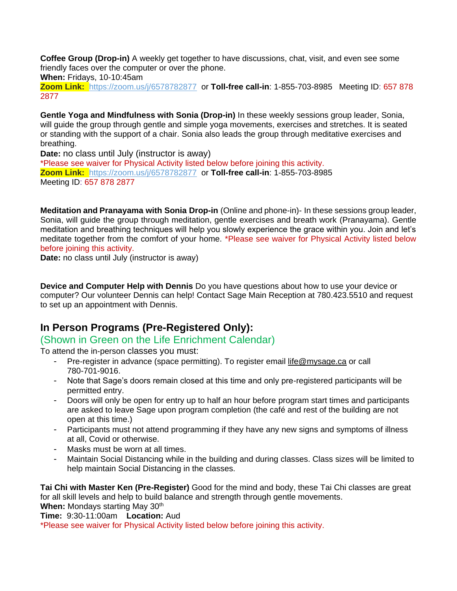**Coffee Group (Drop-in)** A weekly get together to have discussions, chat, visit, and even see some friendly faces over the computer or over the phone.

**When:** Fridays, 10-10:45am

**Zoom Link:** <https://zoom.us/j/6578782877> or **Toll-free call-in**: 1-855-703-8985 Meeting ID: 657 878 2877

**Gentle Yoga and Mindfulness with Sonia (Drop-in)** In these weekly sessions group leader, Sonia, will guide the group through gentle and simple yoga movements, exercises and stretches. It is seated or standing with the support of a chair. Sonia also leads the group through meditative exercises and breathing.

**Date:** no class until July (instructor is away)

\*Please see waiver for Physical Activity listed below before joining this activity. **Zoom Link:** <https://zoom.us/j/6578782877> or **Toll-free call-in**: 1-855-703-8985 Meeting ID: 657 878 2877

**Meditation and Pranayama with Sonia Drop-in** (Online and phone-in)- In these sessions group leader, Sonia, will guide the group through meditation, gentle exercises and breath work (Pranayama). Gentle meditation and breathing techniques will help you slowly experience the grace within you. Join and let's meditate together from the comfort of your home. \*Please see waiver for Physical Activity listed below before joining this activity.

**Date:** no class until July (instructor is away)

**Device and Computer Help with Dennis** Do you have questions about how to use your device or computer? Our volunteer Dennis can help! Contact Sage Main Reception at 780.423.5510 and request to set up an appointment with Dennis.

### **In Person Programs (Pre-Registered Only):**

#### (Shown in Green on the Life Enrichment Calendar)

To attend the in-person classes you must:

- Pre-register in advance (space permitting). To register email [life@mysage.ca](mailto:life@mysage.ca) or call 780-701-9016.
- Note that Sage's doors remain closed at this time and only pre-registered participants will be permitted entry.
- Doors will only be open for entry up to half an hour before program start times and participants are asked to leave Sage upon program completion (the café and rest of the building are not open at this time.)
- Participants must not attend programming if they have any new signs and symptoms of illness at all, Covid or otherwise.
- Masks must be worn at all times.
- Maintain Social Distancing while in the building and during classes. Class sizes will be limited to help maintain Social Distancing in the classes.

**Tai Chi with Master Ken (Pre-Register)** Good for the mind and body, these Tai Chi classes are great for all skill levels and help to build balance and strength through gentle movements.

**When: Mondays starting May 30th** 

**Time:** 9:30-11:00am **Location:** Aud

\*Please see waiver for Physical Activity listed below before joining this activity.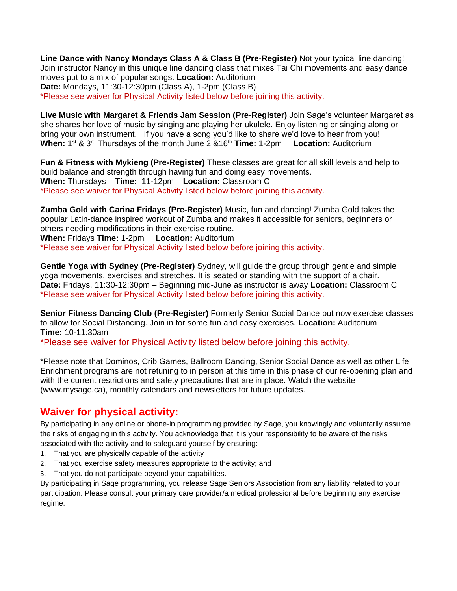**Line Dance with Nancy Mondays Class A & Class B (Pre-Register)** Not your typical line dancing! Join instructor Nancy in this unique line dancing class that mixes Tai Chi movements and easy dance moves put to a mix of popular songs. **Location:** Auditorium **Date:** Mondays, 11:30-12:30pm (Class A), 1-2pm (Class B) \*Please see waiver for Physical Activity listed below before joining this activity.

**Live Music with Margaret & Friends Jam Session (Pre-Register)** Join Sage's volunteer Margaret as she shares her love of music by singing and playing her ukulele. Enjoy listening or singing along or bring your own instrument. If you have a song you'd like to share we'd love to hear from you! When: 1<sup>st</sup> & 3<sup>rd</sup> Thursdays of the month June 2 &16<sup>th</sup> Time: 1-2pm **Location:** Auditorium

**Fun & Fitness with Mykieng (Pre-Register)** These classes are great for all skill levels and help to build balance and strength through having fun and doing easy movements. **When:** Thursdays **Time:** 11-12pm **Location:** Classroom C \*Please see waiver for Physical Activity listed below before joining this activity.

**Zumba Gold with Carina Fridays (Pre-Register)** Music, fun and dancing! Zumba Gold takes the popular Latin-dance inspired workout of Zumba and makes it accessible for seniors, beginners or others needing modifications in their exercise routine. **When:** Fridays **Time:** 1-2pm **Location:** Auditorium

\*Please see waiver for Physical Activity listed below before joining this activity.

**Gentle Yoga with Sydney (Pre-Register)** Sydney, will guide the group through gentle and simple yoga movements, exercises and stretches. It is seated or standing with the support of a chair. **Date:** Fridays, 11:30-12:30pm – Beginning mid-June as instructor is away **Location:** Classroom C \*Please see waiver for Physical Activity listed below before joining this activity.

**Senior Fitness Dancing Club (Pre-Register)** Formerly Senior Social Dance but now exercise classes to allow for Social Distancing. Join in for some fun and easy exercises. **Location:** Auditorium **Time:** 10-11:30am

\*Please see waiver for Physical Activity listed below before joining this activity.

\*Please note that Dominos, Crib Games, Ballroom Dancing, Senior Social Dance as well as other Life Enrichment programs are not retuning to in person at this time in this phase of our re-opening plan and with the current restrictions and safety precautions that are in place. Watch the website (www.mysage.ca), monthly calendars and newsletters for future updates.

### **Waiver for physical activity:**

By participating in any online or phone-in programming provided by Sage, you knowingly and voluntarily assume the risks of engaging in this activity. You acknowledge that it is your responsibility to be aware of the risks associated with the activity and to safeguard yourself by ensuring:

- 1. That you are physically capable of the activity
- 2. That you exercise safety measures appropriate to the activity; and
- 3. That you do not participate beyond your capabilities.

By participating in Sage programming, you release Sage Seniors Association from any liability related to your participation. Please consult your primary care provider/a medical professional before beginning any exercise regime.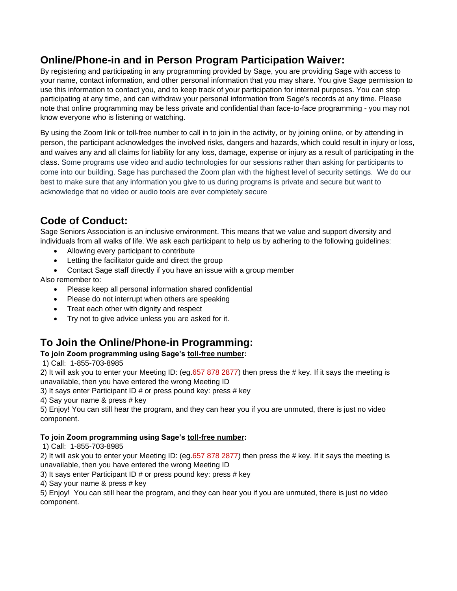### **Online/Phone-in and in Person Program Participation Waiver:**

By registering and participating in any programming provided by Sage, you are providing Sage with access to your name, contact information, and other personal information that you may share. You give Sage permission to use this information to contact you, and to keep track of your participation for internal purposes. You can stop participating at any time, and can withdraw your personal information from Sage's records at any time. Please note that online programming may be less private and confidential than face-to-face programming - you may not know everyone who is listening or watching.

By using the Zoom link or toll-free number to call in to join in the activity, or by joining online, or by attending in person, the participant acknowledges the involved risks, dangers and hazards, which could result in injury or loss, and waives any and all claims for liability for any loss, damage, expense or injury as a result of participating in the class. Some programs use video and audio technologies for our sessions rather than asking for participants to come into our building. Sage has purchased the Zoom plan with the highest level of security settings. We do our best to make sure that any information you give to us during programs is private and secure but want to acknowledge that no video or audio tools are ever completely secure

# **Code of Conduct:**

Sage Seniors Association is an inclusive environment. This means that we value and support diversity and individuals from all walks of life. We ask each participant to help us by adhering to the following guidelines:

- Allowing every participant to contribute
- Letting the facilitator guide and direct the group
- Contact Sage staff directly if you have an issue with a group member

Also remember to:

- Please keep all personal information shared confidential
- Please do not interrupt when others are speaking
- Treat each other with dignity and respect
- Try not to give advice unless you are asked for it.

### **To Join the Online/Phone-in Programming:**

#### **To join Zoom programming using Sage's toll-free number:**

1) Call: 1-855-703-8985

2) It will ask you to enter your Meeting ID: (eg.657 878 2877) then press the # key. If it says the meeting is unavailable, then you have entered the wrong Meeting ID

3) It says enter Participant ID # or press pound key: press # key

4) Say your name & press # key

5) Enjoy! You can still hear the program, and they can hear you if you are unmuted, there is just no video component.

#### **To join Zoom programming using Sage's toll-free number:**

1) Call: 1-855-703-8985

2) It will ask you to enter your Meeting ID: (eg.657 878 2877) then press the # key. If it says the meeting is unavailable, then you have entered the wrong Meeting ID

3) It says enter Participant ID # or press pound key: press # key

4) Say your name & press # key

5) Enjoy! You can still hear the program, and they can hear you if you are unmuted, there is just no video component.